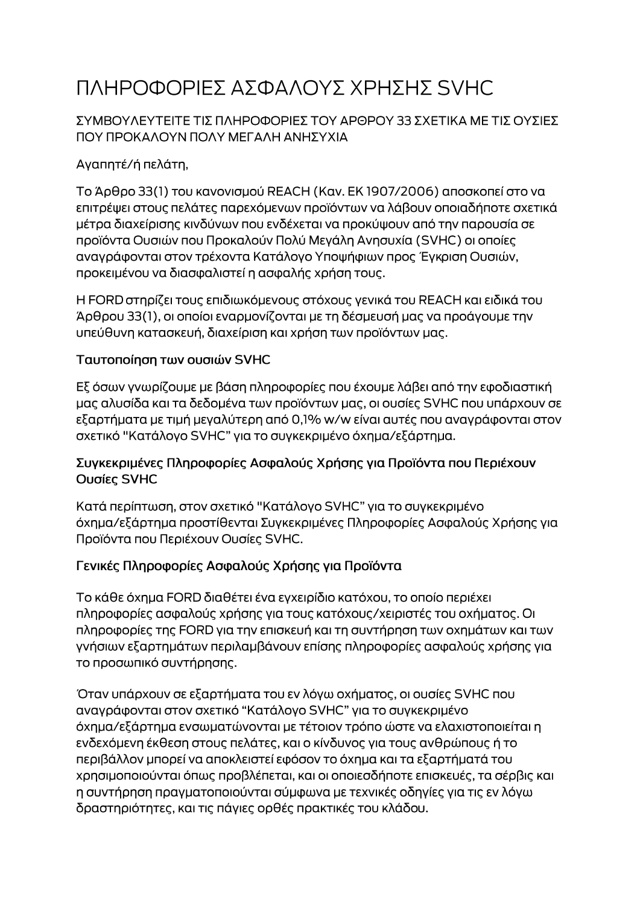# ΠΛΗΡΟΦΟΡΙΕΣ ΑΣΦΑΛΟΥΣ ΧΡΗΣΗΣ SVHC

#### ΣΥΜΒΟΥΛΕΥΤΕΙΤΕ ΤΙΣ ΠΛΗΡΟΦΟΡΙΕΣ ΤΟΥ ΑΡΘΡΟΥ 33 ΣΧΕΤΙΚΑ ΜΕ ΤΙΣ ΟΥΣΙΕΣ ΠΟΥ ΠΡΟΚΑΛΟΥΝ ΠΟΛΥ ΜΕΓΑΛΗ ΑΝΗΣΥΧΙΑ

## Αγαπητέ/ή πελάτη,

Το Άρθρο 33(1) του κανονισμού REACH (Καν. ΕΚ 1907/2006) αποσκοπεί στο να επιτρέψει στους πελάτες παρεχόμενων προϊόντων να λάβουν οποιαδήποτε σχετικά μέτρα διαχείρισης κινδύνων που ενδέχεται να προκύψουν από την παρουσία σε προϊόντα Ουσιών που Προκαλούν Πολύ Μεγάλη Ανησυχία (SVHC) οι οποίες αναγράφονται στον τρέχοντα Κατάλογο Υποψήφιων προς Έγκριση Ουσιών, προκειμένου να διασφαλιστεί η ασφαλής χρήση τους.

Η FORD στηρίζει τους επιδιωκόμενους στόχους γενικά του REACH και ειδικά του Άρθρου 33(1), οι οποίοι εναρμονίζονται με τη δέσμευσή μας να προάγουμε την υπεύθυνη κατασκευή, διαχείριση και χρήση των προϊόντων μας.

#### Ταυτοποίηση των ουσιών SVHC

Εξ όσων γνωρίζουμε με βάση πληροφορίες που έχουμε λάβει από την εφοδιαστική μας αλυσίδα και τα δεδομένα των προϊόντων μας, οι ουσίες SVHC που υπάρχουν σε εξαρτήματα με τιμή μεγαλύτερη από 0,1% w/w είναι αυτές που αναγράφονται στον σχετικό "Κατάλογο SVHC" για το συγκεκριμένο όχημα/εξάρτημα.

#### Συγκεκριμένες Πληροφορίες Ασφαλούς Χρήσης για Προϊόντα που Περιέχουν Ουσίες SVHC

Κατά περίπτωση, στον σχετικό "Κατάλογο SVHC" για το συγκεκριμένο όχημα/εξάρτημα προστίθενται Συγκεκριμένες Πληροφορίες Ασφαλούς Χρήσης για Προϊόντα που Περιέχουν Ουσίες SVHC.

### Γενικές Πληροφορίες Ασφαλούς Χρήσης για Προϊόντα

Το κάθε όχημα FORD διαθέτει ένα εγχειρίδιο κατόχου, το οποίο περιέχει πληροφορίες ασφαλούς χρήσης για τους κατόχους/χειριστές του οχήματος. Οι πληροφορίες της FORD για την επισκευή και τη συντήρηση των οχημάτων και των γνήσιων εξαρτημάτων περιλαμβάνουν επίσης πληροφορίες ασφαλούς χρήσης για το προσωπικό συντήρησης.

Όταν υπάρχουν σε εξαρτήματα του εν λόγω οχήματος, οι ουσίες SVHC που αναγράφονται στον σχετικό "Κατάλογο SVHC" για το συγκεκριμένο όχημα/εξάρτημα ενσωματώνονται με τέτοιον τρόπο ώστε να ελαχιστοποιείται η ενδεχόμενη έκθεση στους πελάτες, και ο κίνδυνος για τους ανθρώπους ή το περιβάλλον μπορεί να αποκλειστεί εφόσον το όχημα και τα εξαρτήματά του χρησιμοποιούνται όπως προβλέπεται, και οι οποιεσδήποτε επισκευές, τα σέρβις και η συντήρηση πραγματοποιούνται σύμφωνα με τεχνικές οδηγίες για τις εν λόγω δραστηριότητες, και τις πάγιες ορθές πρακτικές του κλάδου.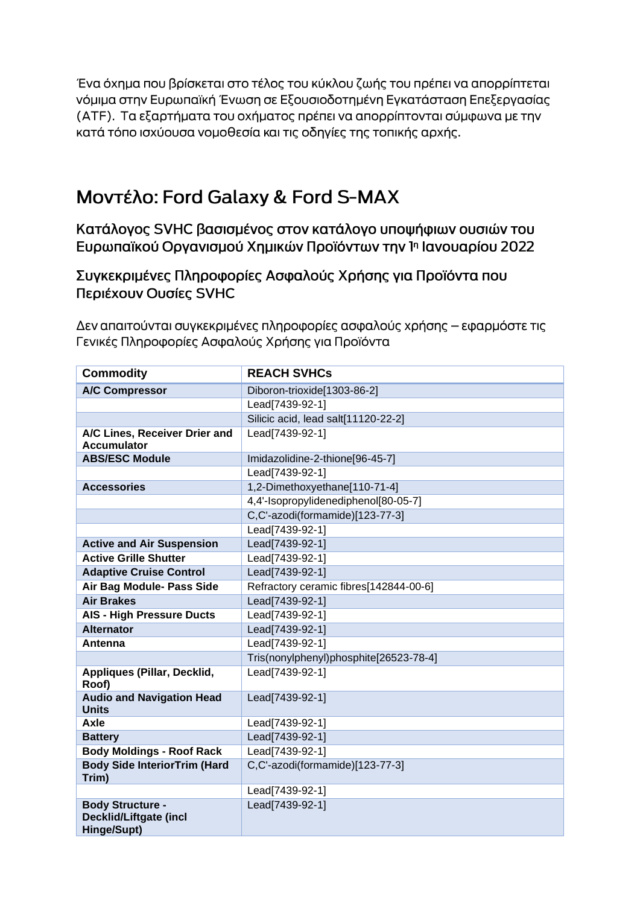Ένα όχημα που βρίσκεται στο τέλος του κύκλου ζωής του πρέπει να απορρίπτεται νόμιμα στην Ευρωπαϊκή Ένωση σε Εξουσιοδοτημένη Εγκατάσταση Επεξεργασίας (ΑΤΕ). Τα εξαρτήματα του οχήματος πρέπει να απορρίπτονται σύμφωνα με την κατά τόπο ισχύουσα νομοθεσία και τις οδηγίες της τοπικής αρχής.

# Moντέλο: Ford Galaxy & Ford S-MAX

Κατάλογος SVHC βασισμένος στον κατάλογο υποψήφιων ουσιών του Ευρωπαϊκού Οργανισμού Χημικών Προϊόντων την 1η Ιανουαρίου 2022

# Συγκεκριμένες Πληροφορίες Ασφαλούς Χρήσης για Προϊόντα που Περιέχουν Ουσίες SVHC

Δεν απαιτούνται συγκεκριμένες πληροφορίες ασφαλούς χρήσης – εφαρμόστε τις Γενικές Πληροφορίες Ασφαλούς Χρήσης για Προϊόντα

| <b>Commodity</b>                                                        | <b>REACH SVHCs</b>                     |
|-------------------------------------------------------------------------|----------------------------------------|
| <b>A/C Compressor</b>                                                   | Diboron-trioxide[1303-86-2]            |
|                                                                         | Lead[7439-92-1]                        |
|                                                                         | Silicic acid, lead salt[11120-22-2]    |
| A/C Lines, Receiver Drier and                                           | Lead[7439-92-1]                        |
| <b>Accumulator</b>                                                      |                                        |
| <b>ABS/ESC Module</b>                                                   | Imidazolidine-2-thione[96-45-7]        |
|                                                                         | Lead[7439-92-1]                        |
| <b>Accessories</b>                                                      | 1,2-Dimethoxyethane[110-71-4]          |
|                                                                         | 4,4'-Isopropylidenediphenol[80-05-7]   |
|                                                                         | C,C'-azodi(formamide)[123-77-3]        |
|                                                                         | Lead[7439-92-1]                        |
| <b>Active and Air Suspension</b>                                        | Lead[7439-92-1]                        |
| <b>Active Grille Shutter</b>                                            | Lead[7439-92-1]                        |
| <b>Adaptive Cruise Control</b>                                          | Lead[7439-92-1]                        |
| Air Bag Module- Pass Side                                               | Refractory ceramic fibres[142844-00-6] |
| <b>Air Brakes</b>                                                       | Lead[7439-92-1]                        |
| <b>AIS - High Pressure Ducts</b>                                        | Lead[7439-92-1]                        |
| <b>Alternator</b>                                                       | Lead[7439-92-1]                        |
| Antenna                                                                 | Lead[7439-92-1]                        |
|                                                                         | Tris(nonylphenyl)phosphite[26523-78-4] |
| <b>Appliques (Pillar, Decklid,</b><br>Roof)                             | Lead[7439-92-1]                        |
| <b>Audio and Navigation Head</b><br><b>Units</b>                        | Lead[7439-92-1]                        |
| <b>Axle</b>                                                             | Lead[7439-92-1]                        |
| <b>Battery</b>                                                          | Lead[7439-92-1]                        |
| <b>Body Moldings - Roof Rack</b>                                        | Lead[7439-92-1]                        |
| <b>Body Side InteriorTrim (Hard</b><br>Trim)                            | C,C'-azodi(formamide)[123-77-3]        |
|                                                                         | Lead[7439-92-1]                        |
| <b>Body Structure -</b><br><b>Decklid/Liftgate (incl</b><br>Hinge/Supt) | Lead[7439-92-1]                        |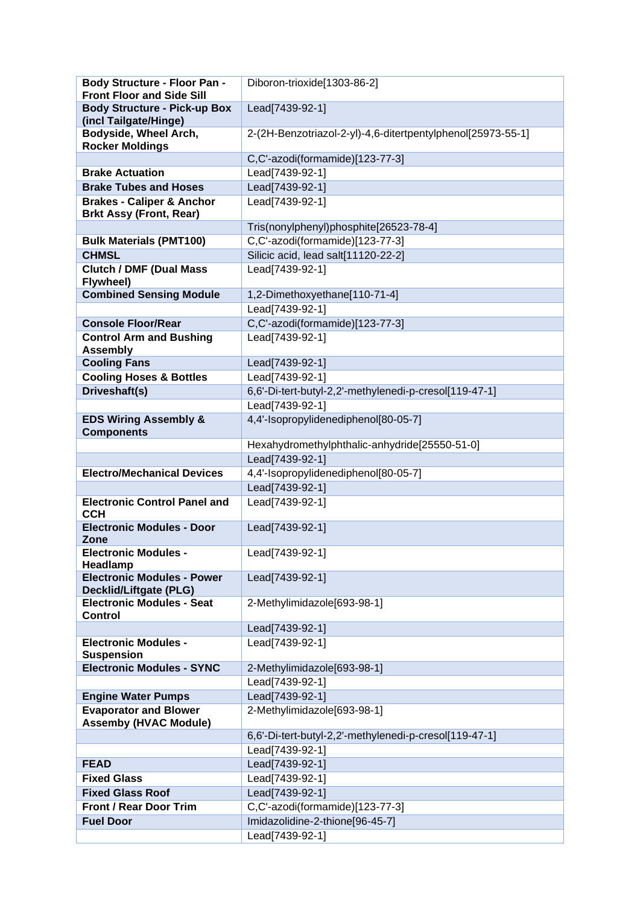| Body Structure - Floor Pan -<br><b>Front Floor and Side Sill</b> | Diboron-trioxide[1303-86-2]                                 |
|------------------------------------------------------------------|-------------------------------------------------------------|
| <b>Body Structure - Pick-up Box</b>                              | Lead[7439-92-1]                                             |
| (incl Tailgate/Hinge)                                            |                                                             |
| Bodyside, Wheel Arch,                                            | 2-(2H-Benzotriazol-2-yl)-4,6-ditertpentylphenol[25973-55-1] |
| <b>Rocker Moldings</b>                                           |                                                             |
|                                                                  | C,C'-azodi(formamide)[123-77-3]                             |
| <b>Brake Actuation</b>                                           | Lead[7439-92-1]                                             |
| <b>Brake Tubes and Hoses</b>                                     | Lead[7439-92-1]                                             |
| <b>Brakes - Caliper &amp; Anchor</b>                             | Lead[7439-92-1]                                             |
| <b>Brkt Assy (Front, Rear)</b>                                   |                                                             |
|                                                                  | Tris(nonylphenyl)phosphite[26523-78-4]                      |
| <b>Bulk Materials (PMT100)</b>                                   | C,C'-azodi(formamide)[123-77-3]                             |
| <b>CHMSL</b>                                                     | Silicic acid, lead salt[11120-22-2]                         |
| <b>Clutch / DMF (Dual Mass)</b><br>Flywheel)                     | Lead[7439-92-1]                                             |
| <b>Combined Sensing Module</b>                                   | 1,2-Dimethoxyethane[110-71-4]                               |
|                                                                  | Lead[7439-92-1]                                             |
| <b>Console Floor/Rear</b>                                        | C,C'-azodi(formamide)[123-77-3]                             |
| <b>Control Arm and Bushing</b>                                   | Lead[7439-92-1]                                             |
| <b>Assembly</b>                                                  |                                                             |
| <b>Cooling Fans</b>                                              | Lead[7439-92-1]                                             |
| <b>Cooling Hoses &amp; Bottles</b>                               | Lead[7439-92-1]                                             |
| Driveshaft(s)                                                    | 6,6'-Di-tert-butyl-2,2'-methylenedi-p-cresol[119-47-1]      |
|                                                                  | Lead[7439-92-1]                                             |
| <b>EDS Wiring Assembly &amp;</b>                                 | 4,4'-Isopropylidenediphenol[80-05-7]                        |
| <b>Components</b>                                                | Hexahydromethylphthalic-anhydride[25550-51-0]               |
|                                                                  | Lead[7439-92-1]                                             |
| <b>Electro/Mechanical Devices</b>                                | 4,4'-Isopropylidenediphenol[80-05-7]                        |
|                                                                  | Lead[7439-92-1]                                             |
| <b>Electronic Control Panel and</b>                              | Lead[7439-92-1]                                             |
| <b>CCH</b>                                                       |                                                             |
| <b>Electronic Modules - Door</b><br>Zone                         | Lead[7439-92-1]                                             |
| <b>Electronic Modules -</b>                                      | Lead[7439-92-1]                                             |
| Headlamp<br><b>Electronic Modules - Power</b>                    |                                                             |
| <b>Decklid/Liftgate (PLG)</b>                                    | Lead[7439-92-1]                                             |
| <b>Electronic Modules - Seat</b>                                 | 2-Methylimidazole[693-98-1]                                 |
| <b>Control</b>                                                   |                                                             |
|                                                                  | Lead[7439-92-1]                                             |
| <b>Electronic Modules -</b><br><b>Suspension</b>                 | Lead[7439-92-1]                                             |
| <b>Electronic Modules - SYNC</b>                                 | 2-Methylimidazole[693-98-1]                                 |
|                                                                  | Lead[7439-92-1]                                             |
| <b>Engine Water Pumps</b>                                        | Lead[7439-92-1]                                             |
| <b>Evaporator and Blower</b>                                     | 2-Methylimidazole[693-98-1]                                 |
| <b>Assemby (HVAC Module)</b>                                     |                                                             |
|                                                                  | 6,6'-Di-tert-butyl-2,2'-methylenedi-p-cresol[119-47-1]      |
|                                                                  | Lead[7439-92-1]                                             |
| <b>FEAD</b>                                                      | Lead[7439-92-1]                                             |
| <b>Fixed Glass</b>                                               | Lead[7439-92-1]                                             |
| <b>Fixed Glass Roof</b>                                          | Lead[7439-92-1]                                             |
| <b>Front / Rear Door Trim</b>                                    | C,C'-azodi(formamide)[123-77-3]                             |
| <b>Fuel Door</b>                                                 | Imidazolidine-2-thione[96-45-7]                             |
|                                                                  | Lead[7439-92-1]                                             |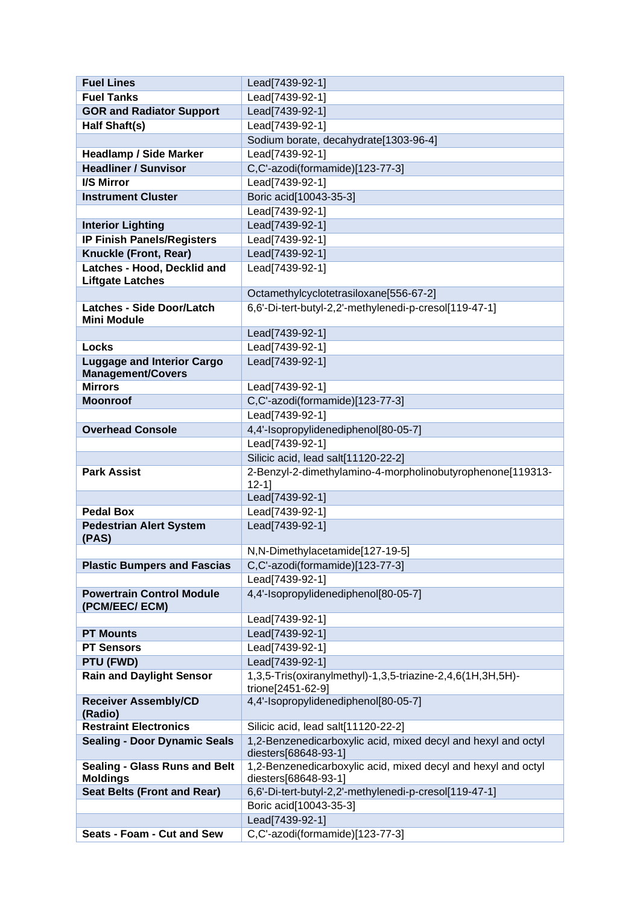| <b>Fuel Lines</b>                                             | Lead[7439-92-1]                                                                       |
|---------------------------------------------------------------|---------------------------------------------------------------------------------------|
| <b>Fuel Tanks</b>                                             | Lead[7439-92-1]                                                                       |
| <b>GOR and Radiator Support</b>                               | Lead[7439-92-1]                                                                       |
| Half Shaft(s)                                                 | Lead[7439-92-1]                                                                       |
|                                                               | Sodium borate, decahydrate[1303-96-4]                                                 |
| <b>Headlamp / Side Marker</b>                                 | Lead[7439-92-1]                                                                       |
| <b>Headliner / Sunvisor</b>                                   | C,C'-azodi(formamide)[123-77-3]                                                       |
| <b>I/S Mirror</b>                                             | Lead[7439-92-1]                                                                       |
| <b>Instrument Cluster</b>                                     | Boric acid[10043-35-3]                                                                |
|                                                               | Lead[7439-92-1]                                                                       |
| <b>Interior Lighting</b>                                      | Lead[7439-92-1]                                                                       |
| <b>IP Finish Panels/Registers</b>                             | Lead[7439-92-1]                                                                       |
| <b>Knuckle (Front, Rear)</b>                                  | Lead[7439-92-1]                                                                       |
| Latches - Hood, Decklid and<br><b>Liftgate Latches</b>        | Lead[7439-92-1]                                                                       |
|                                                               | Octamethylcyclotetrasiloxane[556-67-2]                                                |
| <b>Latches - Side Door/Latch</b><br><b>Mini Module</b>        | 6,6'-Di-tert-butyl-2,2'-methylenedi-p-cresol[119-47-1]                                |
|                                                               | Lead[7439-92-1]                                                                       |
| <b>Locks</b>                                                  | Lead[7439-92-1]                                                                       |
| <b>Luggage and Interior Cargo</b><br><b>Management/Covers</b> | Lead[7439-92-1]                                                                       |
| <b>Mirrors</b>                                                | Lead[7439-92-1]                                                                       |
| <b>Moonroof</b>                                               | C,C'-azodi(formamide)[123-77-3]                                                       |
|                                                               | Lead[7439-92-1]                                                                       |
| <b>Overhead Console</b>                                       | 4,4'-Isopropylidenediphenol[80-05-7]                                                  |
|                                                               | Lead[7439-92-1]                                                                       |
|                                                               | Silicic acid, lead salt[11120-22-2]                                                   |
| <b>Park Assist</b>                                            | 2-Benzyl-2-dimethylamino-4-morpholinobutyrophenone[119313-<br>$12 - 1$                |
|                                                               | Lead[7439-92-1]                                                                       |
| <b>Pedal Box</b>                                              | Lead[7439-92-1]                                                                       |
| <b>Pedestrian Alert System</b><br>(PAS)                       | Lead[7439-92-1]                                                                       |
|                                                               | N,N-Dimethylacetamide[127-19-5]                                                       |
| <b>Plastic Bumpers and Fascias</b>                            | C,C'-azodi(formamide)[123-77-3]                                                       |
|                                                               | Lead[7439-92-1]                                                                       |
| <b>Powertrain Control Module</b><br>(PCM/EEC/ECM)             | 4,4'-Isopropylidenediphenol[80-05-7]                                                  |
|                                                               | Lead[7439-92-1]                                                                       |
| <b>PT Mounts</b>                                              | Lead[7439-92-1]                                                                       |
| <b>PT Sensors</b>                                             | Lead[7439-92-1]                                                                       |
| PTU (FWD)                                                     | Lead[7439-92-1]                                                                       |
| <b>Rain and Daylight Sensor</b>                               | 1,3,5-Tris(oxiranylmethyl)-1,3,5-triazine-2,4,6(1H,3H,5H)-<br>trione[2451-62-9]       |
| <b>Receiver Assembly/CD</b><br>(Radio)                        | 4,4'-Isopropylidenediphenol[80-05-7]                                                  |
| <b>Restraint Electronics</b>                                  | Silicic acid, lead salt[11120-22-2]                                                   |
| <b>Sealing - Door Dynamic Seals</b>                           | 1,2-Benzenedicarboxylic acid, mixed decyl and hexyl and octyl<br>diesters[68648-93-1] |
| <b>Sealing - Glass Runs and Belt</b>                          | 1,2-Benzenedicarboxylic acid, mixed decyl and hexyl and octyl                         |
| <b>Moldings</b><br><b>Seat Belts (Front and Rear)</b>         | diesters[68648-93-1]<br>6,6'-Di-tert-butyl-2,2'-methylenedi-p-cresol[119-47-1]        |
|                                                               | Boric acid[10043-35-3]                                                                |
|                                                               | Lead[7439-92-1]                                                                       |
| Seats - Foam - Cut and Sew                                    | C,C'-azodi(formamide)[123-77-3]                                                       |
|                                                               |                                                                                       |